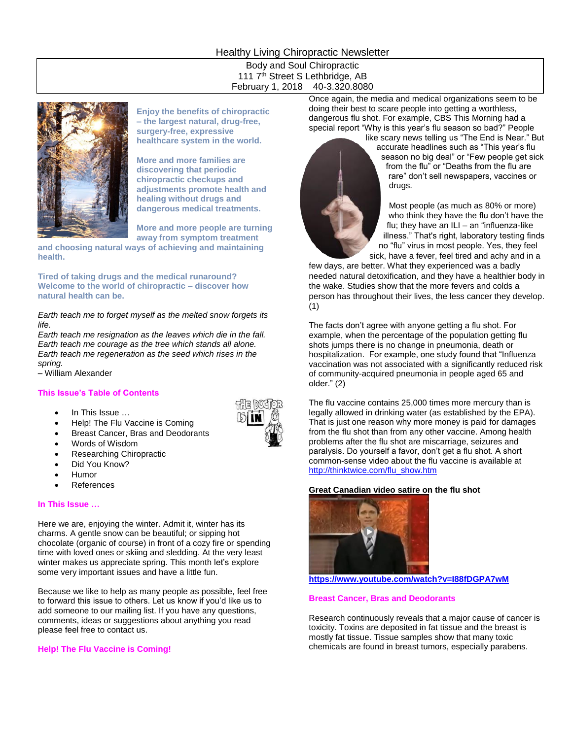# Healthy Living Chiropractic Newsletter

Body and Soul Chiropractic 111 7<sup>th</sup> Street S Lethbridge, AB February 1, 2018 40-3.320.8080



**Enjoy the benefits of chiropractic – the largest natural, drug-free, surgery-free, expressive healthcare system in the world.** 

**More and more families are discovering that periodic chiropractic checkups and adjustments promote health and healing without drugs and dangerous medical treatments.**

**More and more people are turning away from symptom treatment** 

**and choosing natural ways of achieving and maintaining health.**

**Tired of taking drugs and the medical runaround? Welcome to the world of chiropractic – discover how natural health can be.**

*Earth teach me to forget myself as the melted snow forgets its life.*

*Earth teach me resignation as the leaves which die in the fall. Earth teach me courage as the tree which stands all alone. Earth teach me regeneration as the seed which rises in the spring.*

– William Alexander

### **This Issue's Table of Contents**

- In This Issue …
- Help! The Flu Vaccine is Coming
- Breast Cancer, Bras and Deodorants
- Words of Wisdom
- Researching Chiropractic
- Did You Know?
- Humor
- References

#### **In This Issue …**

Here we are, enjoying the winter. Admit it, winter has its charms. A gentle snow can be beautiful; or sipping hot chocolate (organic of course) in front of a cozy fire or spending time with loved ones or skiing and sledding. At the very least winter makes us appreciate spring. This month let's explore some very important issues and have a little fun.

Because we like to help as many people as possible, feel free to forward this issue to others. Let us know if you'd like us to add someone to our mailing list. If you have any questions, comments, ideas or suggestions about anything you read please feel free to contact us.

### **Help! The Flu Vaccine is Coming!**

Once again, the media and medical organizations seem to be doing their best to scare people into getting a worthless, dangerous flu shot. For example, CBS This Morning had a special report "Why is this year's flu season so bad?" People



like scary news telling us "The End is Near." But accurate headlines such as "This year's flu season no big deal" or "Few people get sick from the flu" or "Deaths from the flu are rare" don't sell newspapers, vaccines or drugs.

Most people (as much as 80% or more) who think they have the flu don't have the flu; they have an ILI – an "influenza-like illness." That's right, laboratory testing finds no "flu" virus in most people. Yes, they feel sick, have a fever, feel tired and achy and in a

few days, are better. What they experienced was a badly needed natural detoxification, and they have a healthier body in the wake. Studies show that the more fevers and colds a person has throughout their lives, the less cancer they develop. (1)

The facts don't agree with anyone getting a flu shot. For example, when the percentage of the population getting flu shots jumps there is no change in pneumonia, death or hospitalization. For example, one study found that "Influenza vaccination was not associated with a significantly reduced risk of community-acquired pneumonia in people aged 65 and older." (2)

The flu vaccine contains 25,000 times more mercury than is legally allowed in drinking water (as established by the EPA). That is just one reason why more money is paid for damages from the flu shot than from any other vaccine. Among health problems after the flu shot are miscarriage, seizures and paralysis. Do yourself a favor, don't get a flu shot. A short common-sense video about the flu vaccine is available at [http://thinktwice.com/flu\\_show.htm](http://thinktwice.com/flu_show.htm)

### **Great Canadian video satire on the flu shot**



**<https://www.youtube.com/watch?v=I88fDGPA7wM>**

### **Breast Cancer, Bras and Deodorants**

Research continuously reveals that a major cause of cancer is toxicity. Toxins are deposited in fat tissue and the breast is mostly fat tissue. Tissue samples show that many toxic chemicals are found in breast tumors, especially parabens.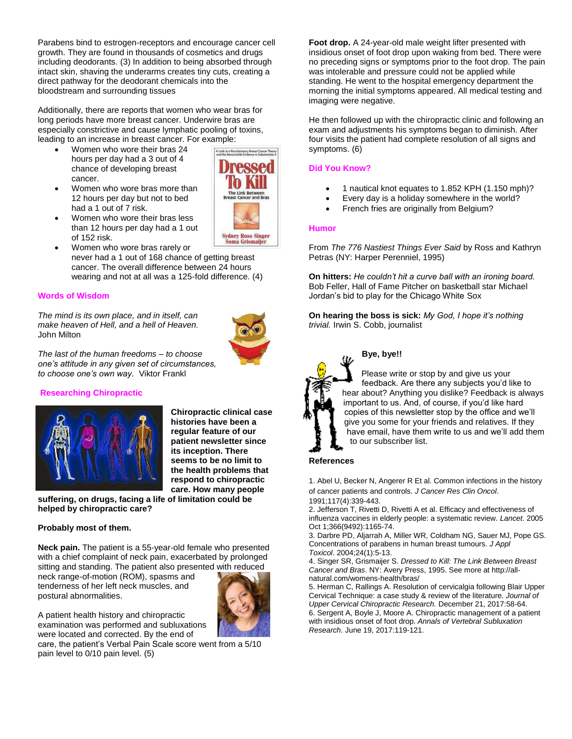Parabens bind to estrogen-receptors and encourage cancer cell growth. They are found in thousands of cosmetics and drugs including deodorants. (3) In addition to being absorbed through intact skin, shaving the underarms creates tiny cuts, creating a direct pathway for the deodorant chemicals into the bloodstream and surrounding tissues

Additionally, there are reports that women who wear bras for long periods have more breast cancer. Underwire bras are especially constrictive and cause lymphatic pooling of toxins, leading to an increase in breast cancer. For example:

- Women who wore their bras 24 hours per day had a 3 out of 4 chance of developing breast cancer.
- Women who wore bras more than 12 hours per day but not to bed had a 1 out of 7 risk.



- Women who wore their bras less than 12 hours per day had a 1 out of 152 risk.
- Women who wore bras rarely or never had a 1 out of 168 chance of getting breast cancer. The overall difference between 24 hours wearing and not at all was a 125-fold difference. (4)

## **Words of Wisdom**

*The mind is its own place, and in itself, can make heaven of Hell, and a hell of Heaven.* John Milton



*The last of the human freedoms – to choose one's attitude in any given set of circumstances, to choose one's own way.* Viktor Frankl

## **Researching Chiropractic**



**Chiropractic clinical case histories have been a regular feature of our patient newsletter since its inception. There seems to be no limit to the health problems that respond to chiropractic care. How many people** 

**suffering, on drugs, facing a life of limitation could be helped by chiropractic care?** 

### **Probably most of them.**

**Neck pain.** The patient is a 55-year-old female who presented with a chief complaint of neck pain, exacerbated by prolonged sitting and standing. The patient also presented with reduced

neck range-of-motion (ROM), spasms and tenderness of her left neck muscles, and postural abnormalities.



A patient health history and chiropractic examination was performed and subluxations were located and corrected. By the end of

care, the patient's Verbal Pain Scale score went from a 5/10 pain level to 0/10 pain level. (5)

**Foot drop.** A 24-year-old male weight lifter presented with insidious onset of foot drop upon waking from bed. There were no preceding signs or symptoms prior to the foot drop. The pain was intolerable and pressure could not be applied while standing. He went to the hospital emergency department the morning the initial symptoms appeared. All medical testing and imaging were negative.

He then followed up with the chiropractic clinic and following an exam and adjustments his symptoms began to diminish. After four visits the patient had complete resolution of all signs and symptoms. (6)

## **Did You Know?**

- 1 nautical knot equates to 1.852 KPH (1.150 mph)?
- Every day is a holiday somewhere in the world?
- French fries are originally from Belgium?

## **Humor**

From *The 776 Nastiest Things Ever Said* by Ross and Kathryn Petras (NY: Harper Perenniel, 1995)

**On hitters:** *He couldn't hit a curve ball with an ironing board.* Bob Feller, Hall of Fame Pitcher on basketball star Michael Jordan's bid to play for the Chicago White Sox

**On hearing the boss is sick:** *My God, I hope it's nothing trivial.* Irwin S. Cobb, journalist



## **Bye, bye!!**

Please write or stop by and give us your feedback. Are there any subjects you'd like to hear about? Anything you dislike? Feedback is always important to us. And, of course, if you'd like hard copies of this newsletter stop by the office and we'll give you some for your friends and relatives. If they have email, have them write to us and we'll add them to our subscriber list.

### **References**

1. Abel U, Becker N, Angerer R Et al. Common infections in the history of cancer patients and controls. *J Cancer Res Clin Oncol*. 1991;117(4):339-443.

2. Jefferson T, Rivetti D, Rivetti A et al. Efficacy and effectiveness of influenza vaccines in elderly people: a systematic review. *Lancet*. 2005 Oct 1;366(9492):1165-74.

3. [Darbre PD,](https://www.ncbi.nlm.nih.gov/pubmed/?term=Darbre%20PD%5BAuthor%5D&cauthor=true&cauthor_uid=14745841) [Aljarrah A,](https://www.ncbi.nlm.nih.gov/pubmed/?term=Aljarrah%20A%5BAuthor%5D&cauthor=true&cauthor_uid=14745841) [Miller WR,](https://www.ncbi.nlm.nih.gov/pubmed/?term=Miller%20WR%5BAuthor%5D&cauthor=true&cauthor_uid=14745841) [Coldham NG,](https://www.ncbi.nlm.nih.gov/pubmed/?term=Coldham%20NG%5BAuthor%5D&cauthor=true&cauthor_uid=14745841) [Sauer MJ,](https://www.ncbi.nlm.nih.gov/pubmed/?term=Sauer%20MJ%5BAuthor%5D&cauthor=true&cauthor_uid=14745841) [Pope GS.](https://www.ncbi.nlm.nih.gov/pubmed/?term=Pope%20GS%5BAuthor%5D&cauthor=true&cauthor_uid=14745841)  Concentrations of parabens in human breast tumours. *[J Appl](https://www.ncbi.nlm.nih.gov/pubmed/14745841)  [Toxicol](https://www.ncbi.nlm.nih.gov/pubmed/14745841)*. 2004;24(1):5-13.

4. Singer SR, Grismaijer S. *Dressed to Kill: The Link Between Breast Cancer and Bras*. NY: Avery Press, 1995. See more a[t http://all](http://all-natural.com/womens-health/bras/)[natural.com/womens-health/bras/](http://all-natural.com/womens-health/bras/)

5. Herman C, Rallings A. Resolution of cervicalgia following Blair Upper Cervical Technique: a case study & review of the literature. *Journal of Upper Cervical Chiropractic Research.* December 21, 2017:58-64. 6. Sergent A, Boyle J, Moore A. Chiropractic management of a patient with insidious onset of foot drop. *Annals of Vertebral Subluxation Research*. June 19, 2017:119-121.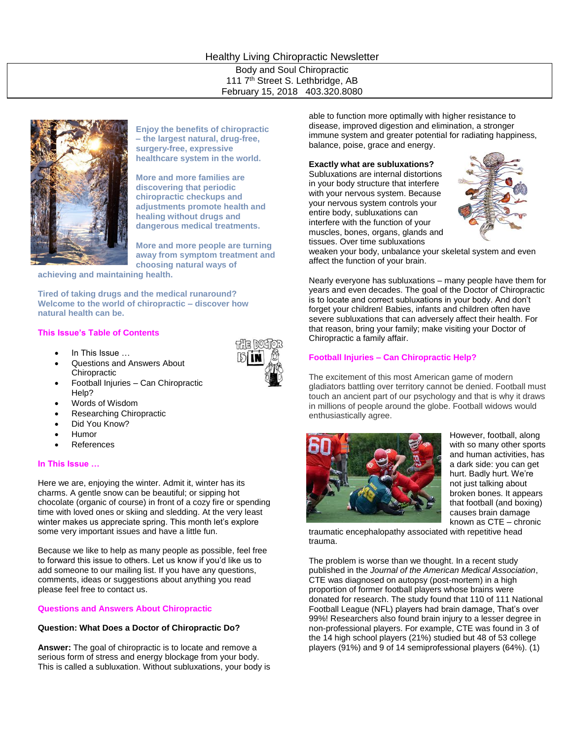# Healthy Living Chiropractic Newsletter

Body and Soul Chiropractic 111 7<sup>th</sup> Street S. Lethbridge, AB February 15, 2018 403.320.8080



**Enjoy the benefits of chiropractic – the largest natural, drug-free, surgery-free, expressive healthcare system in the world.** 

**More and more families are discovering that periodic chiropractic checkups and adjustments promote health and healing without drugs and dangerous medical treatments.**

**More and more people are turning away from symptom treatment and choosing natural ways of** 

**achieving and maintaining health.**

**Tired of taking drugs and the medical runaround? Welcome to the world of chiropractic – discover how natural health can be.**

### **This Issue's Table of Contents**

- In This Issue …
- Questions and Answers About Chiropractic
	- Football Injuries Can Chiropractic Help?
- Words of Wisdom
- Researching Chiropractic
- Did You Know?
- Humor
- References

### **In This Issue …**

Here we are, enjoying the winter. Admit it, winter has its charms. A gentle snow can be beautiful; or sipping hot chocolate (organic of course) in front of a cozy fire or spending time with loved ones or skiing and sledding. At the very least winter makes us appreciate spring. This month let's explore some very important issues and have a little fun.

Because we like to help as many people as possible, feel free to forward this issue to others. Let us know if you'd like us to add someone to our mailing list. If you have any questions, comments, ideas or suggestions about anything you read please feel free to contact us.

### **Questions and Answers About Chiropractic**

#### **Question: What Does a Doctor of Chiropractic Do?**

**Answer:** The goal of chiropractic is to locate and remove a serious form of stress and energy blockage from your body. This is called a subluxation. Without subluxations, your body is able to function more optimally with higher resistance to disease, improved digestion and elimination, a stronger immune system and greater potential for radiating happiness, balance, poise, grace and energy.

**Exactly what are subluxations?**

Subluxations are internal distortions in your body structure that interfere with your nervous system. Because your nervous system controls your entire body, subluxations can interfere with the function of your muscles, bones, organs, glands and tissues. Over time subluxations



weaken your body, unbalance your skeletal system and even affect the function of your brain.

Nearly everyone has subluxations – many people have them for years and even decades. The goal of the Doctor of Chiropractic is to locate and correct subluxations in your body. And don't forget your children! Babies, infants and children often have severe subluxations that can adversely affect their health. For that reason, bring your family; make visiting your Doctor of Chiropractic a family affair.

#### **Football Injuries – Can Chiropractic Help?**

The excitement of this most American game of modern gladiators battling over territory cannot be denied. Football must touch an ancient part of our psychology and that is why it draws in millions of people around the globe. Football widows would enthusiastically agree.



However, football, along with so many other sports and human activities, has a dark side: you can get hurt. Badly hurt. We're not just talking about broken bones. It appears that football (and boxing) causes brain damage known as CTE – chronic

traumatic encephalopathy associated with repetitive head trauma.

The problem is worse than we thought. In a recent study published in the *Journal of the American Medical Association*, CTE was diagnosed on autopsy (post-mortem) in a high proportion of former football players whose brains were donated for research. The study found that 110 of 111 National Football League (NFL) players had brain damage, That's over 99%! Researchers also found brain injury to a lesser degree in non-professional players. For example, CTE was found in 3 of the 14 high school players (21%) studied but 48 of 53 college players (91%) and 9 of 14 semiprofessional players (64%). (1)